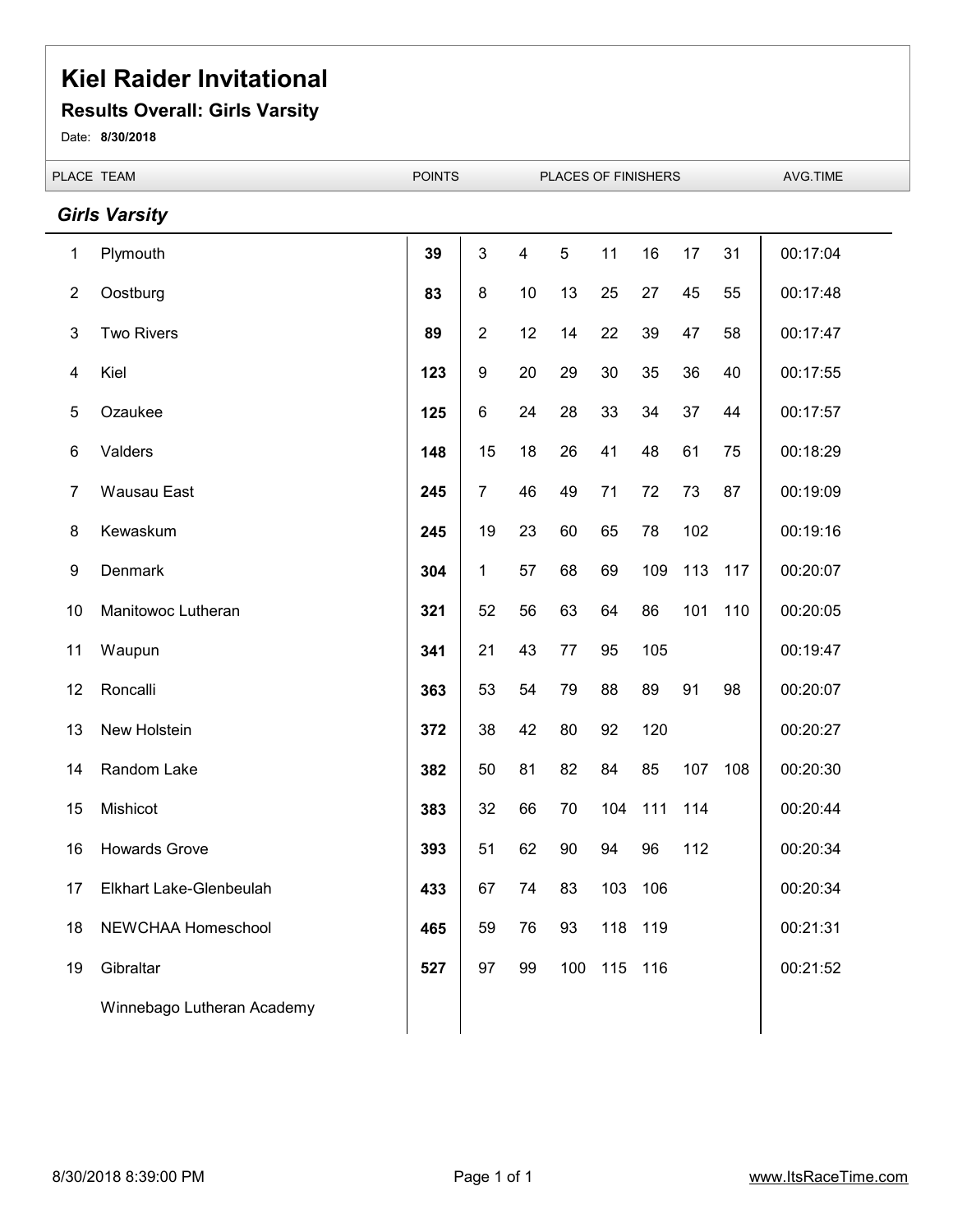#### **Results Overall: Girls Varsity**

Date: **8/30/2018**

|                | PLACE TEAM                 | <b>POINTS</b><br>PLACES OF FINISHERS |                |                          |     |     | AVG.TIME |     |     |          |
|----------------|----------------------------|--------------------------------------|----------------|--------------------------|-----|-----|----------|-----|-----|----------|
|                | <b>Girls Varsity</b>       |                                      |                |                          |     |     |          |     |     |          |
| 1              | Plymouth                   | 39                                   | 3              | $\overline{\mathcal{A}}$ | 5   | 11  | 16       | 17  | 31  | 00:17:04 |
| $\overline{2}$ | Oostburg                   | 83                                   | 8              | 10                       | 13  | 25  | 27       | 45  | 55  | 00:17:48 |
| 3              | <b>Two Rivers</b>          | 89                                   | $\overline{c}$ | 12                       | 14  | 22  | 39       | 47  | 58  | 00:17:47 |
| 4              | Kiel                       | 123                                  | 9              | 20                       | 29  | 30  | 35       | 36  | 40  | 00:17:55 |
| 5              | Ozaukee                    | 125                                  | 6              | 24                       | 28  | 33  | 34       | 37  | 44  | 00:17:57 |
| 6              | Valders                    | 148                                  | 15             | 18                       | 26  | 41  | 48       | 61  | 75  | 00:18:29 |
| 7              | <b>Wausau East</b>         | 245                                  | $\overline{7}$ | 46                       | 49  | 71  | 72       | 73  | 87  | 00:19:09 |
| 8              | Kewaskum                   | 245                                  | 19             | 23                       | 60  | 65  | 78       | 102 |     | 00:19:16 |
| 9              | <b>Denmark</b>             | 304                                  | 1              | 57                       | 68  | 69  | 109      | 113 | 117 | 00:20:07 |
| 10             | Manitowoc Lutheran         | 321                                  | 52             | 56                       | 63  | 64  | 86       | 101 | 110 | 00:20:05 |
| 11             | Waupun                     | 341                                  | 21             | 43                       | 77  | 95  | 105      |     |     | 00:19:47 |
| 12             | Roncalli                   | 363                                  | 53             | 54                       | 79  | 88  | 89       | 91  | 98  | 00:20:07 |
| 13             | New Holstein               | 372                                  | 38             | 42                       | 80  | 92  | 120      |     |     | 00:20:27 |
| 14             | Random Lake                | 382                                  | 50             | 81                       | 82  | 84  | 85       | 107 | 108 | 00:20:30 |
| 15             | Mishicot                   | 383                                  | 32             | 66                       | 70  | 104 | 111      | 114 |     | 00:20:44 |
| 16             | <b>Howards Grove</b>       | 393                                  | 51             | 62                       | 90  | 94  | 96       | 112 |     | 00:20:34 |
| 17             | Elkhart Lake-Glenbeulah    | 433                                  | 67             | 74                       | 83  | 103 | 106      |     |     | 00:20:34 |
| 18             | NEWCHAA Homeschool         | 465                                  | 59             | 76                       | 93  | 118 | 119      |     |     | 00:21:31 |
| 19             | Gibraltar                  | 527                                  | 97             | 99                       | 100 | 115 | 116      |     |     | 00:21:52 |
|                | Winnebago Lutheran Academy |                                      |                |                          |     |     |          |     |     |          |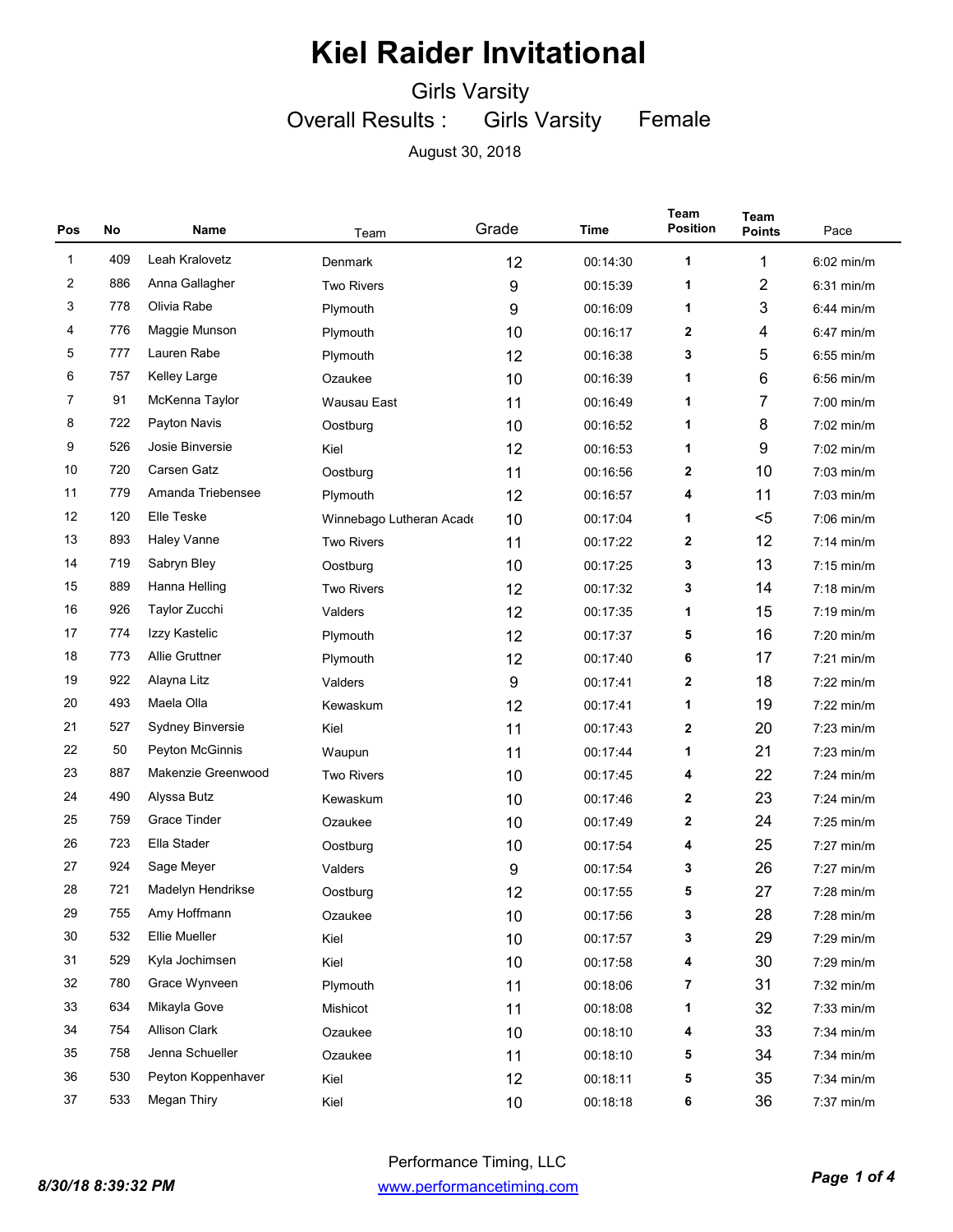Girls Varsity

Overall Results : Girls Varsity Female

| Pos          | No  | Name                  | Team                     | Grade | Time     | Team<br><b>Position</b> | Team<br><b>Points</b> | Pace         |
|--------------|-----|-----------------------|--------------------------|-------|----------|-------------------------|-----------------------|--------------|
| $\mathbf{1}$ | 409 | Leah Kralovetz        | Denmark                  | 12    | 00:14:30 | 1                       | 1                     | $6:02$ min/m |
| 2            | 886 | Anna Gallagher        | <b>Two Rivers</b>        | 9     | 00:15:39 | 1                       | $\overline{2}$        | $6:31$ min/m |
| 3            | 778 | Olivia Rabe           | Plymouth                 | 9     | 00:16:09 | 1                       | 3                     | $6:44$ min/m |
| 4            | 776 | Maggie Munson         | Plymouth                 | 10    | 00:16:17 | $\mathbf{2}$            | 4                     | $6:47$ min/m |
| 5            | 777 | Lauren Rabe           | Plymouth                 | 12    | 00:16:38 | 3                       | 5                     | $6:55$ min/m |
| 6            | 757 | <b>Kelley Large</b>   | Ozaukee                  | 10    | 00:16:39 | 1                       | 6                     | $6:56$ min/m |
| 7            | 91  | McKenna Taylor        | Wausau East              | 11    | 00:16:49 | 1                       | 7                     | $7:00$ min/m |
| 8            | 722 | Payton Navis          | Oostburg                 | 10    | 00:16:52 | 1                       | 8                     | $7:02$ min/m |
| 9            | 526 | Josie Binversie       | Kiel                     | 12    | 00:16:53 | 1                       | 9                     | 7:02 min/m   |
| 10           | 720 | Carsen Gatz           | Oostburg                 | 11    | 00:16:56 | $\mathbf{2}$            | 10                    | $7:03$ min/m |
| 11           | 779 | Amanda Triebensee     | Plymouth                 | 12    | 00:16:57 | 4                       | 11                    | 7:03 min/m   |
| 12           | 120 | <b>Elle Teske</b>     | Winnebago Lutheran Acade | 10    | 00:17:04 | 1                       | $5$                   | $7:06$ min/m |
| 13           | 893 | <b>Haley Vanne</b>    | <b>Two Rivers</b>        | 11    | 00:17:22 | 2                       | 12                    | $7:14$ min/m |
| 14           | 719 | Sabryn Bley           | Oostburg                 | 10    | 00:17:25 | 3                       | 13                    | $7:15$ min/m |
| 15           | 889 | Hanna Helling         | <b>Two Rivers</b>        | 12    | 00:17:32 | 3                       | 14                    | 7:18 min/m   |
| 16           | 926 | Taylor Zucchi         | Valders                  | 12    | 00:17:35 | 1                       | 15                    | $7:19$ min/m |
| 17           | 774 | Izzy Kastelic         | Plymouth                 | 12    | 00:17:37 | 5                       | 16                    | 7:20 min/m   |
| 18           | 773 | <b>Allie Gruttner</b> | Plymouth                 | 12    | 00:17:40 | 6                       | 17                    | $7:21$ min/m |
| 19           | 922 | Alayna Litz           | Valders                  | 9     | 00:17:41 | 2                       | 18                    | $7:22$ min/m |
| 20           | 493 | Maela Olla            | Kewaskum                 | 12    | 00:17:41 | 1                       | 19                    | $7:22$ min/m |
| 21           | 527 | Sydney Binversie      | Kiel                     | 11    | 00:17:43 | 2                       | 20                    | 7:23 min/m   |
| 22           | 50  | Peyton McGinnis       | Waupun                   | 11    | 00:17:44 | 1                       | 21                    | $7:23$ min/m |
| 23           | 887 | Makenzie Greenwood    | <b>Two Rivers</b>        | 10    | 00:17:45 | 4                       | 22                    | $7:24$ min/m |
| 24           | 490 | Alyssa Butz           | Kewaskum                 | 10    | 00:17:46 | $\mathbf{2}$            | 23                    | $7:24$ min/m |
| 25           | 759 | <b>Grace Tinder</b>   | Ozaukee                  | 10    | 00:17:49 | 2                       | 24                    | $7:25$ min/m |
| 26           | 723 | Ella Stader           | Oostburg                 | 10    | 00:17:54 | 4                       | 25                    | $7:27$ min/m |
| 27           | 924 | Sage Meyer            | Valders                  | 9     | 00:17:54 | 3                       | 26                    | $7:27$ min/m |
| 28           | 721 | Madelyn Hendrikse     | Oostburg                 | 12    | 00:17:55 | 5                       | 27                    | $7:28$ min/m |
| 29           | 755 | Amy Hoffmann          | Ozaukee                  | 10    | 00:17:56 | 3                       | 28                    | 7:28 min/m   |
| 30           | 532 | Ellie Mueller         | Kiel                     | 10    | 00:17:57 | 3                       | 29                    | 7:29 min/m   |
| 31           | 529 | Kyla Jochimsen        | Kiel                     | 10    | 00:17:58 | 4                       | 30                    | 7:29 min/m   |
| 32           | 780 | Grace Wynveen         | Plymouth                 | 11    | 00:18:06 | 7                       | 31                    | 7:32 min/m   |
| 33           | 634 | Mikayla Gove          | Mishicot                 | 11    | 00:18:08 | 1                       | 32                    | 7:33 min/m   |
| 34           | 754 | <b>Allison Clark</b>  | Ozaukee                  | 10    | 00:18:10 | 4                       | 33                    | 7:34 min/m   |
| 35           | 758 | Jenna Schueller       | Ozaukee                  | 11    | 00:18:10 | 5                       | 34                    | 7:34 min/m   |
| 36           | 530 | Peyton Koppenhaver    | Kiel                     | 12    | 00:18:11 | 5                       | 35                    | 7:34 min/m   |
| 37           | 533 | Megan Thiry           | Kiel                     | 10    | 00:18:18 | 6                       | 36                    | 7:37 min/m   |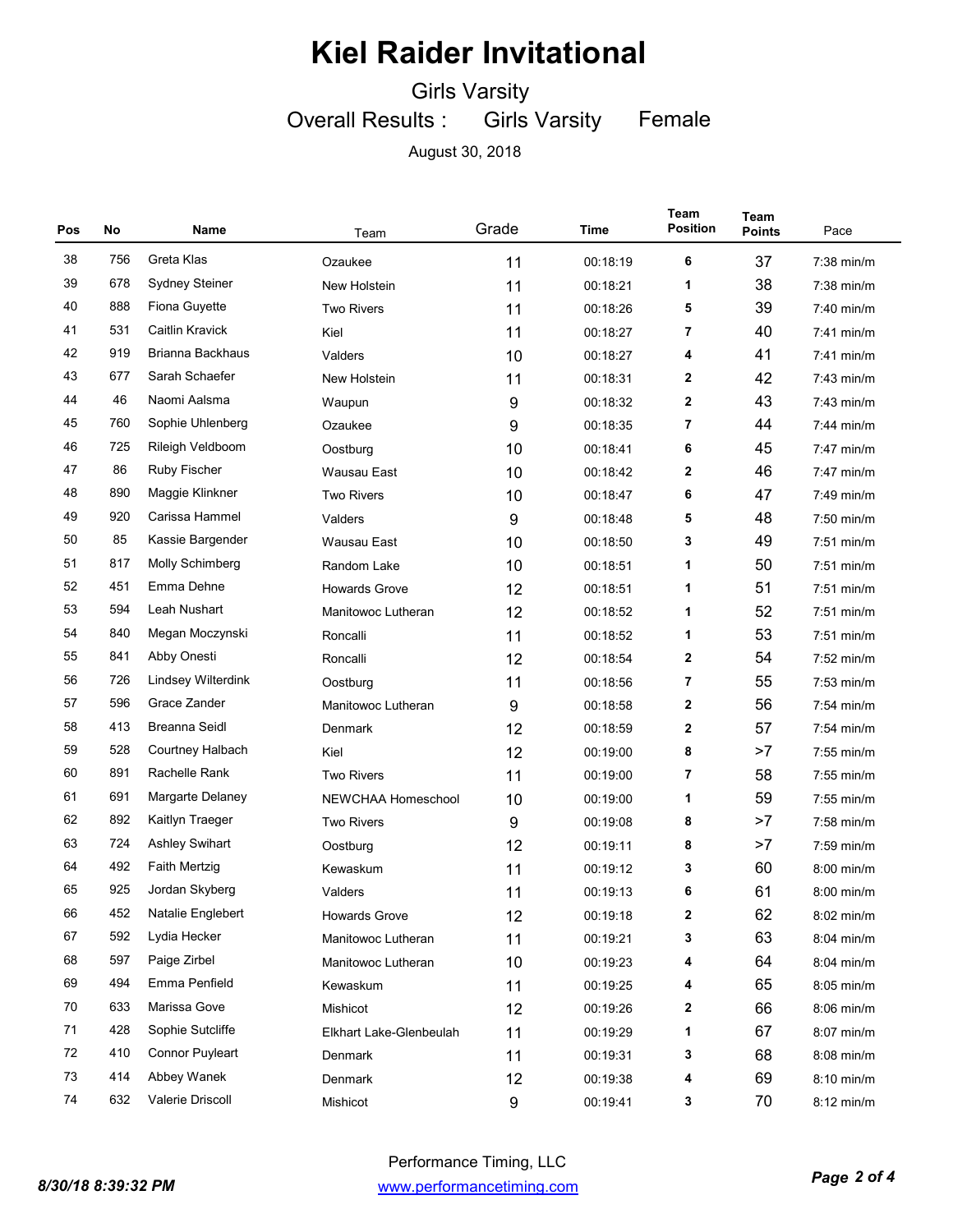Girls Varsity

Overall Results : Girls Varsity Female

| Pos    | No  | Name                   | Team                    | Grade            | Time     | Team<br><b>Position</b> | <b>Team</b><br><b>Points</b> | Pace         |
|--------|-----|------------------------|-------------------------|------------------|----------|-------------------------|------------------------------|--------------|
| 38     | 756 | Greta Klas             | Ozaukee                 | 11               | 00:18:19 | 6                       | 37                           | 7:38 min/m   |
| 39     | 678 | <b>Sydney Steiner</b>  | New Holstein            | 11               | 00:18:21 | 1                       | 38                           | 7:38 min/m   |
| 40     | 888 | Fiona Guyette          | <b>Two Rivers</b>       | 11               | 00:18:26 | 5                       | 39                           | 7:40 min/m   |
| 41     | 531 | Caitlin Kravick        | Kiel                    | 11               | 00:18:27 | 7                       | 40                           | 7:41 min/m   |
| 42     | 919 | Brianna Backhaus       | Valders                 | 10               | 00:18:27 | 4                       | 41                           | 7:41 min/m   |
| 43     | 677 | Sarah Schaefer         | New Holstein            | 11               | 00:18:31 | 2                       | 42                           | 7:43 min/m   |
| 44     | 46  | Naomi Aalsma           | Waupun                  | 9                | 00:18:32 | 2                       | 43                           | 7:43 min/m   |
| 45     | 760 | Sophie Uhlenberg       | Ozaukee                 | 9                | 00:18:35 | 7                       | 44                           | 7:44 min/m   |
| 46     | 725 | Rileigh Veldboom       | Oostburg                | 10               | 00:18:41 | 6                       | 45                           | 7:47 min/m   |
| 47     | 86  | <b>Ruby Fischer</b>    | Wausau East             | 10               | 00:18:42 | 2                       | 46                           | 7:47 min/m   |
| 48     | 890 | Maggie Klinkner        | <b>Two Rivers</b>       | 10               | 00:18:47 | 6                       | 47                           | 7:49 min/m   |
| 49     | 920 | Carissa Hammel         | Valders                 | 9                | 00:18:48 | 5                       | 48                           | 7:50 min/m   |
| 50     | 85  | Kassie Bargender       | <b>Wausau East</b>      | 10               | 00:18:50 | 3                       | 49                           | $7:51$ min/m |
| 51     | 817 | Molly Schimberg        | Random Lake             | 10               | 00:18:51 | 1                       | 50                           | $7:51$ min/m |
| 52     | 451 | Emma Dehne             | <b>Howards Grove</b>    | 12               | 00:18:51 | 1                       | 51                           | $7:51$ min/m |
| 53     | 594 | Leah Nushart           | Manitowoc Lutheran      | 12               | 00:18:52 | 1                       | 52                           | $7:51$ min/m |
| 54     | 840 | Megan Moczynski        | Roncalli                | 11               | 00:18:52 | 1                       | 53                           | $7:51$ min/m |
| 55     | 841 | Abby Onesti            | Roncalli                | 12               | 00:18:54 | $\mathbf{2}$            | 54                           | 7:52 min/m   |
| 56     | 726 | Lindsey Wilterdink     | Oostburg                | 11               | 00:18:56 | 7                       | 55                           | $7:53$ min/m |
| 57     | 596 | Grace Zander           | Manitowoc Lutheran      | 9                | 00:18:58 | $\mathbf{2}$            | 56                           | 7:54 min/m   |
| 58     | 413 | Breanna Seidl          | Denmark                 | 12               | 00:18:59 | 2                       | 57                           | 7:54 min/m   |
| 59     | 528 | Courtney Halbach       | Kiel                    | 12               | 00:19:00 | 8                       | >7                           | 7:55 min/m   |
| 60     | 891 | Rachelle Rank          | <b>Two Rivers</b>       | 11               | 00:19:00 | 7                       | 58                           | 7:55 min/m   |
| 61     | 691 | Margarte Delaney       | NEWCHAA Homeschool      | 10               | 00:19:00 | 1                       | 59                           | 7:55 min/m   |
| 62     | 892 | Kaitlyn Traeger        | <b>Two Rivers</b>       | 9                | 00:19:08 | 8                       | >7                           | $7:58$ min/m |
| 63     | 724 | <b>Ashley Swihart</b>  | Oostburg                | 12               | 00:19:11 | 8                       | >7                           | 7:59 min/m   |
| 64     | 492 | <b>Faith Mertzig</b>   | Kewaskum                | 11               | 00:19:12 | 3                       | 60                           | 8:00 min/m   |
| 65     | 925 | Jordan Skyberg         | Valders                 | 11               | 00:19:13 | 6                       | 61                           | 8:00 min/m   |
| 66     | 452 | Natalie Englebert      | <b>Howards Grove</b>    | 12               | 00:19:18 | 2                       | 62                           | 8:02 min/m   |
| 67     | 592 | Lydia Hecker           | Manitowoc Lutheran      | 11               | 00:19:21 | 3                       | 63                           | 8:04 min/m   |
| 68     | 597 | Paige Zirbel           | Manitowoc Lutheran      | 10               | 00:19:23 | 4                       | 64                           | 8:04 min/m   |
| 69     | 494 | Emma Penfield          | Kewaskum                | 11               | 00:19:25 | 4                       | 65                           | 8:05 min/m   |
| 70     | 633 | Marissa Gove           | Mishicot                | 12               | 00:19:26 | 2                       | 66                           | 8:06 min/m   |
| 71     | 428 | Sophie Sutcliffe       | Elkhart Lake-Glenbeulah | 11               | 00:19:29 | 1                       | 67                           | 8:07 min/m   |
| 72     | 410 | <b>Connor Puyleart</b> | Denmark                 | 11               | 00:19:31 | 3                       | 68                           | 8:08 min/m   |
| $73\,$ | 414 | Abbey Wanek            | Denmark                 | 12               | 00:19:38 | 4                       | 69                           | 8:10 min/m   |
| 74     | 632 | Valerie Driscoll       | Mishicot                | $\boldsymbol{9}$ | 00:19:41 | 3                       | 70                           | 8:12 min/m   |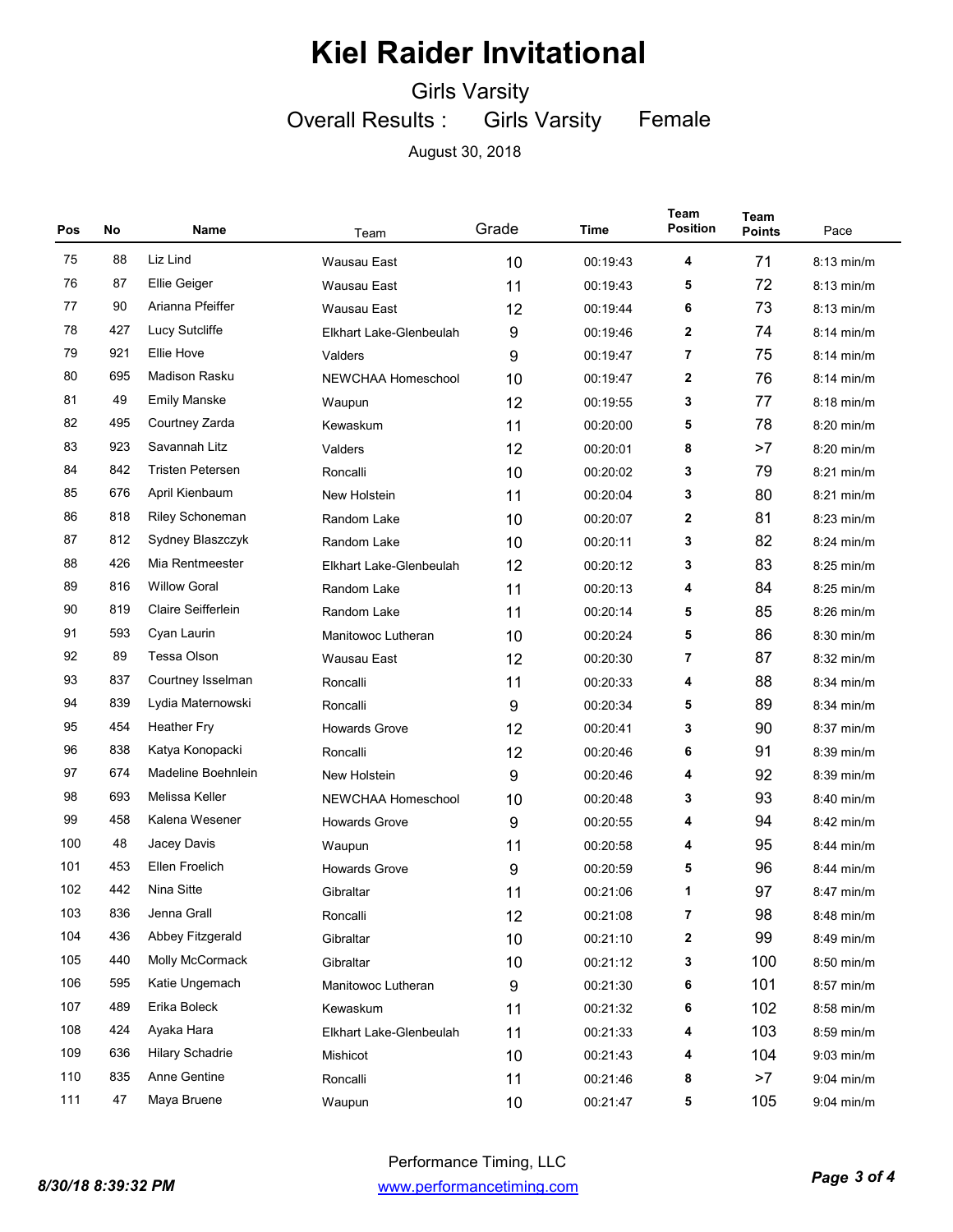Girls Varsity

Overall Results : Girls Varsity Female

| Pos | No  | Name                    | Team                    | Grade | Time     | Team<br><b>Position</b> | Team<br><b>Points</b> | Pace         |
|-----|-----|-------------------------|-------------------------|-------|----------|-------------------------|-----------------------|--------------|
| 75  | 88  | Liz Lind                | <b>Wausau East</b>      | 10    | 00:19:43 | 4                       | 71                    | 8:13 min/m   |
| 76  | 87  | <b>Ellie Geiger</b>     | Wausau East             | 11    | 00:19:43 | 5                       | 72                    | 8:13 min/m   |
| 77  | 90  | Arianna Pfeiffer        | Wausau East             | 12    | 00:19:44 | 6                       | 73                    | $8:13$ min/m |
| 78  | 427 | Lucy Sutcliffe          | Elkhart Lake-Glenbeulah | 9     | 00:19:46 | 2                       | 74                    | $8:14$ min/m |
| 79  | 921 | Ellie Hove              | Valders                 | 9     | 00:19:47 | 7                       | 75                    | $8:14$ min/m |
| 80  | 695 | Madison Rasku           | NEWCHAA Homeschool      | 10    | 00:19:47 | 2                       | 76                    | $8:14$ min/m |
| 81  | 49  | <b>Emily Manske</b>     | Waupun                  | 12    | 00:19:55 | 3                       | 77                    | 8:18 min/m   |
| 82  | 495 | Courtney Zarda          | Kewaskum                | 11    | 00:20:00 | 5                       | 78                    | 8:20 min/m   |
| 83  | 923 | Savannah Litz           | Valders                 | 12    | 00:20:01 | 8                       | >7                    | 8:20 min/m   |
| 84  | 842 | <b>Tristen Petersen</b> | Roncalli                | 10    | 00:20:02 | 3                       | 79                    | $8:21$ min/m |
| 85  | 676 | April Kienbaum          | New Holstein            | 11    | 00:20:04 | 3                       | 80                    | 8:21 min/m   |
| 86  | 818 | <b>Riley Schoneman</b>  | Random Lake             | 10    | 00:20:07 | 2                       | 81                    | $8:23$ min/m |
| 87  | 812 | Sydney Blaszczyk        | Random Lake             | 10    | 00:20:11 | 3                       | 82                    | 8:24 min/m   |
| 88  | 426 | Mia Rentmeester         | Elkhart Lake-Glenbeulah | 12    | 00:20:12 | 3                       | 83                    | 8:25 min/m   |
| 89  | 816 | <b>Willow Goral</b>     | Random Lake             | 11    | 00:20:13 | 4                       | 84                    | 8:25 min/m   |
| 90  | 819 | Claire Seifferlein      | Random Lake             | 11    | 00:20:14 | 5                       | 85                    | 8:26 min/m   |
| 91  | 593 | Cyan Laurin             | Manitowoc Lutheran      | 10    | 00:20:24 | 5                       | 86                    | $8:30$ min/m |
| 92  | 89  | Tessa Olson             | Wausau East             | 12    | 00:20:30 | 7                       | 87                    | 8:32 min/m   |
| 93  | 837 | Courtney Isselman       | Roncalli                | 11    | 00:20:33 | 4                       | 88                    | 8:34 min/m   |
| 94  | 839 | Lydia Maternowski       | Roncalli                | 9     | 00:20:34 | 5                       | 89                    | 8:34 min/m   |
| 95  | 454 | <b>Heather Fry</b>      | <b>Howards Grove</b>    | 12    | 00:20:41 | 3                       | 90                    | $8:37$ min/m |
| 96  | 838 | Katya Konopacki         | Roncalli                | 12    | 00:20:46 | 6                       | 91                    | 8:39 min/m   |
| 97  | 674 | Madeline Boehnlein      | New Holstein            | 9     | 00:20:46 | 4                       | 92                    | 8:39 min/m   |
| 98  | 693 | Melissa Keller          | NEWCHAA Homeschool      | 10    | 00:20:48 | 3                       | 93                    | 8:40 min/m   |
| 99  | 458 | Kalena Wesener          | <b>Howards Grove</b>    | 9     | 00:20:55 | 4                       | 94                    | 8:42 min/m   |
| 100 | 48  | Jacey Davis             | Waupun                  | 11    | 00:20:58 | 4                       | 95                    | 8:44 min/m   |
| 101 | 453 | Ellen Froelich          | <b>Howards Grove</b>    | 9     | 00:20:59 | 5                       | 96                    | 8:44 min/m   |
| 102 | 442 | Nina Sitte              | Gibraltar               | 11    | 00:21:06 | 1                       | 97                    | 8:47 min/m   |
| 103 | 836 | Jenna Grall             | Roncalli                | 12    | 00:21:08 | 7                       | 98                    | 8:48 min/m   |
| 104 | 436 | Abbey Fitzgerald        | Gibraltar               | 10    | 00:21:10 | 2                       | 99                    | 8:49 min/m   |
| 105 | 440 | Molly McCormack         | Gibraltar               | 10    | 00:21:12 | 3                       | 100                   | 8:50 min/m   |
| 106 | 595 | Katie Ungemach          | Manitowoc Lutheran      | 9     | 00:21:30 | 6                       | 101                   | 8:57 min/m   |
| 107 | 489 | Erika Boleck            | Kewaskum                | 11    | 00:21:32 | 6                       | 102                   | 8:58 min/m   |
| 108 | 424 | Ayaka Hara              | Elkhart Lake-Glenbeulah | 11    | 00:21:33 | 4                       | 103                   | 8:59 min/m   |
| 109 | 636 | <b>Hilary Schadrie</b>  | Mishicot                | 10    | 00:21:43 | 4                       | 104                   | $9:03$ min/m |
| 110 | 835 | Anne Gentine            | Roncalli                | 11    | 00:21:46 | 8                       | >7                    | 9:04 min/m   |
| 111 | 47  | Maya Bruene             | Waupun                  | 10    | 00:21:47 | 5                       | 105                   | 9:04 min/m   |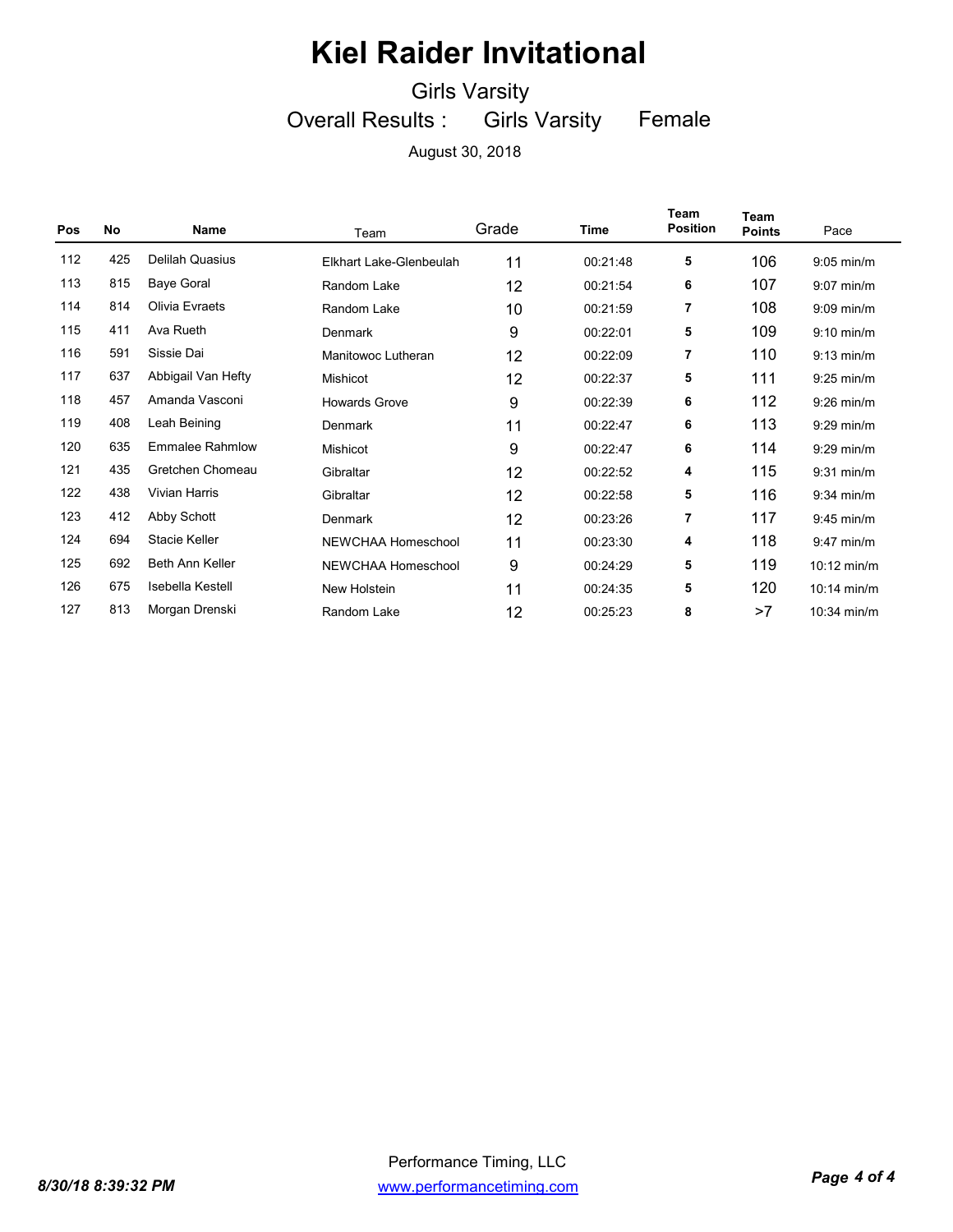Girls Varsity

Overall Results : Girls Varsity Female

| Pos | No  | <b>Name</b>            | Team                    | Grade | Time     | Team<br><b>Position</b> | Team<br><b>Points</b> | Pace          |
|-----|-----|------------------------|-------------------------|-------|----------|-------------------------|-----------------------|---------------|
| 112 | 425 | <b>Delilah Quasius</b> | Elkhart Lake-Glenbeulah | 11    | 00:21:48 | 5                       | 106                   | $9:05$ min/m  |
| 113 | 815 | <b>Baye Goral</b>      | Random Lake             | 12    | 00:21:54 | 6                       | 107                   | $9:07$ min/m  |
| 114 | 814 | Olivia Evraets         | Random Lake             | 10    | 00:21:59 | 7                       | 108                   | $9:09$ min/m  |
| 115 | 411 | Ava Rueth              | Denmark                 | 9     | 00:22:01 | 5                       | 109                   | $9:10$ min/m  |
| 116 | 591 | Sissie Dai             | Manitowoc Lutheran      | 12    | 00:22:09 | 7                       | 110                   | $9:13$ min/m  |
| 117 | 637 | Abbigail Van Hefty     | <b>Mishicot</b>         | 12    | 00:22:37 | 5                       | 111                   | $9:25$ min/m  |
| 118 | 457 | Amanda Vasconi         | <b>Howards Grove</b>    | 9     | 00:22:39 | 6                       | 112                   | $9:26$ min/m  |
| 119 | 408 | Leah Beining           | Denmark                 | 11    | 00:22:47 | 6                       | 113                   | $9:29$ min/m  |
| 120 | 635 | <b>Emmalee Rahmlow</b> | <b>Mishicot</b>         | 9     | 00:22:47 | 6                       | 114                   | $9:29$ min/m  |
| 121 | 435 | Gretchen Chomeau       | Gibraltar               | 12    | 00:22:52 | 4                       | 115                   | $9:31$ min/m  |
| 122 | 438 | <b>Vivian Harris</b>   | Gibraltar               | 12    | 00:22:58 | 5                       | 116                   | $9:34$ min/m  |
| 123 | 412 | Abby Schott            | Denmark                 | 12    | 00:23:26 | 7                       | 117                   | $9:45$ min/m  |
| 124 | 694 | Stacie Keller          | NEWCHAA Homeschool      | 11    | 00:23:30 | 4                       | 118                   | $9:47$ min/m  |
| 125 | 692 | <b>Beth Ann Keller</b> | NEWCHAA Homeschool      | 9     | 00:24:29 | 5                       | 119                   | $10:12$ min/m |
| 126 | 675 | Isebella Kestell       | New Holstein            | 11    | 00:24:35 | 5                       | 120                   | $10:14$ min/m |
| 127 | 813 | Morgan Drenski         | Random Lake             | 12    | 00:25:23 | 8                       | >7                    | 10:34 min/m   |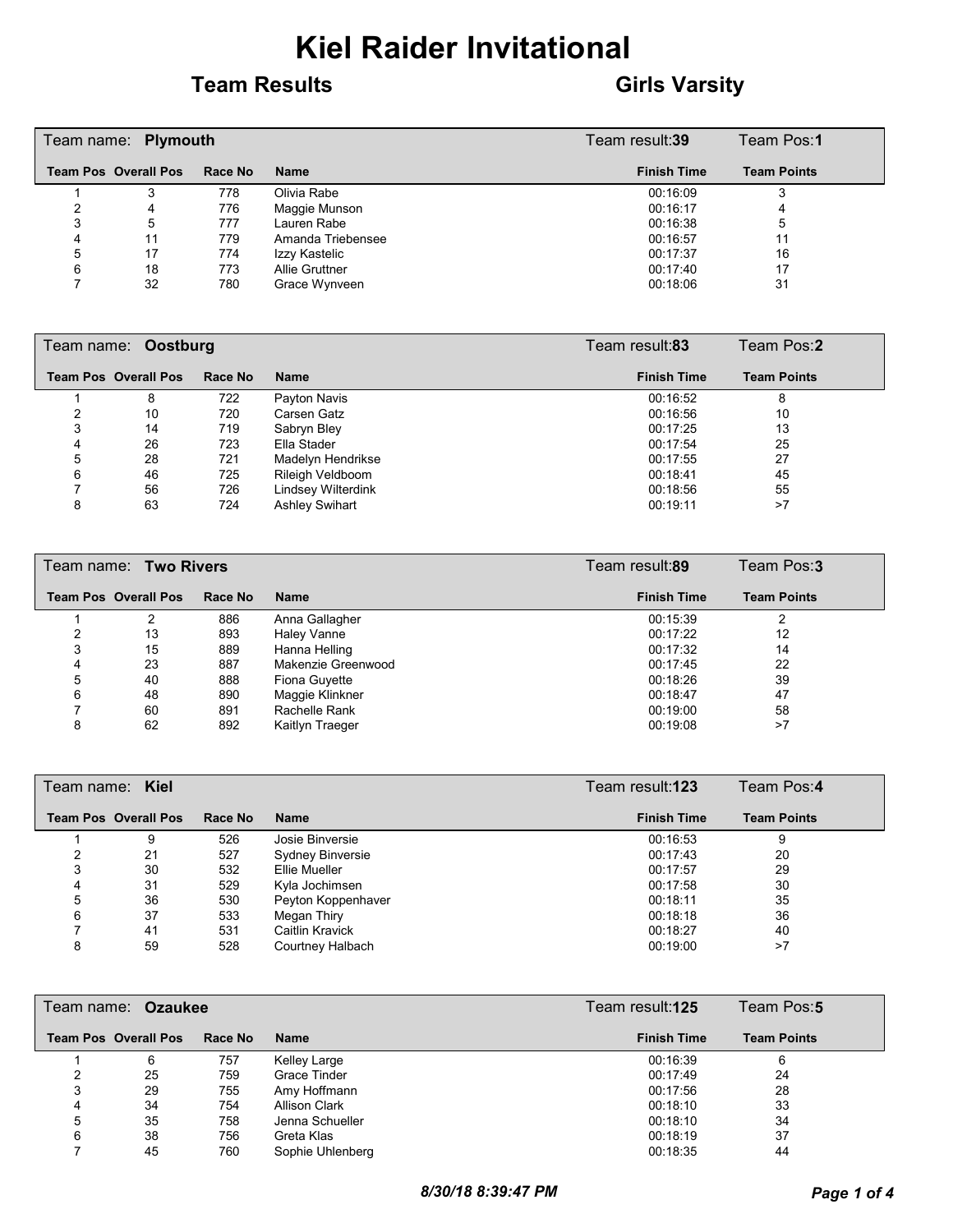#### **Team Results Girls Varsity**

|   | Team name: Plymouth         |         | Team result:39    | Team Pos:1         |                    |
|---|-----------------------------|---------|-------------------|--------------------|--------------------|
|   | <b>Team Pos Overall Pos</b> | Race No | <b>Name</b>       | <b>Finish Time</b> | <b>Team Points</b> |
|   |                             | 778     | Olivia Rabe       | 00:16:09           | 3                  |
|   | 4                           | 776     | Maggie Munson     | 00:16:17           | 4                  |
| 3 | 5                           | 777     | Lauren Rabe       | 00:16:38           | 5                  |
| 4 | 11                          | 779     | Amanda Triebensee | 00:16:57           | 11                 |
| 5 | 17                          | 774     | Izzy Kastelic     | 00:17:37           | 16                 |
| 6 | 18                          | 773     | Allie Gruttner    | 00:17:40           | 17                 |
|   | 32                          | 780     | Grace Wynveen     | 00:18:06           | 31                 |

|   | Team name: Oostburg         |         | Team result:83        | Team Pos:2         |                    |
|---|-----------------------------|---------|-----------------------|--------------------|--------------------|
|   | <b>Team Pos Overall Pos</b> | Race No | <b>Name</b>           | <b>Finish Time</b> | <b>Team Points</b> |
|   | 8                           | 722     | Payton Navis          | 00:16:52           | 8                  |
|   | 10                          | 720     | Carsen Gatz           | 00:16:56           | 10                 |
|   | 14                          | 719     | Sabryn Bley           | 00:17:25           | 13                 |
| 4 | 26                          | 723     | Ella Stader           | 00:17:54           | 25                 |
| 5 | 28                          | 721     | Madelyn Hendrikse     | 00:17:55           | 27                 |
| 6 | 46                          | 725     | Rileigh Veldboom      | 00:18:41           | 45                 |
|   | 56                          | 726     | Lindsey Wilterdink    | 00:18:56           | 55                 |
| 8 | 63                          | 724     | <b>Ashley Swihart</b> | 00:19:11           | >7                 |

|   | Team name: Two Rivers       |         |                    | Team result:89     | Team Pos:3         |
|---|-----------------------------|---------|--------------------|--------------------|--------------------|
|   | <b>Team Pos Overall Pos</b> | Race No | <b>Name</b>        | <b>Finish Time</b> | <b>Team Points</b> |
|   |                             | 886     | Anna Gallagher     | 00:15:39           |                    |
|   | 13                          | 893     | Haley Vanne        | 00:17:22           | 12                 |
| 3 | 15                          | 889     | Hanna Helling      | 00:17:32           | 14                 |
| 4 | 23                          | 887     | Makenzie Greenwood | 00:17:45           | 22                 |
| 5 | 40                          | 888     | Fiona Guyette      | 00:18:26           | 39                 |
| 6 | 48                          | 890     | Maggie Klinkner    | 00:18:47           | 47                 |
|   | 60                          | 891     | Rachelle Rank      | 00:19:00           | 58                 |
| 8 | 62                          | 892     | Kaitlyn Traeger    | 00:19:08           | >7                 |

|   | Team name: Kiel             |         | Team result: <b>123</b> | Team Pos:4         |                    |
|---|-----------------------------|---------|-------------------------|--------------------|--------------------|
|   | <b>Team Pos Overall Pos</b> | Race No | <b>Name</b>             | <b>Finish Time</b> | <b>Team Points</b> |
|   | 9                           | 526     | Josie Binversie         | 00:16:53           | 9                  |
|   | 21                          | 527     | Sydney Binversie        | 00:17:43           | 20                 |
|   | 30                          | 532     | Ellie Mueller           | 00:17:57           | 29                 |
| 4 | 31                          | 529     | Kyla Jochimsen          | 00:17:58           | 30                 |
| 5 | 36                          | 530     | Peyton Koppenhaver      | 00:18:11           | 35                 |
| 6 | 37                          | 533     | Megan Thiry             | 00:18:18           | 36                 |
|   | 41                          | 531     | <b>Caitlin Kravick</b>  | 00:18:27           | 40                 |
| 8 | 59                          | 528     | Courtney Halbach        | 00:19:00           | >7                 |

|   | Team name: Ozaukee          |         | Team result:125  | Team Pos:5         |                    |
|---|-----------------------------|---------|------------------|--------------------|--------------------|
|   | <b>Team Pos Overall Pos</b> | Race No | <b>Name</b>      | <b>Finish Time</b> | <b>Team Points</b> |
|   | 6                           | 757     | Kelley Large     | 00:16:39           | 6                  |
|   | 25                          | 759     | Grace Tinder     | 00:17:49           | 24                 |
| 3 | 29                          | 755     | Amy Hoffmann     | 00:17:56           | 28                 |
| 4 | 34                          | 754     | Allison Clark    | 00:18:10           | 33                 |
| 5 | 35                          | 758     | Jenna Schueller  | 00:18:10           | 34                 |
| 6 | 38                          | 756     | Greta Klas       | 00:18:19           | 37                 |
|   | 45                          | 760     | Sophie Uhlenberg | 00:18:35           | 44                 |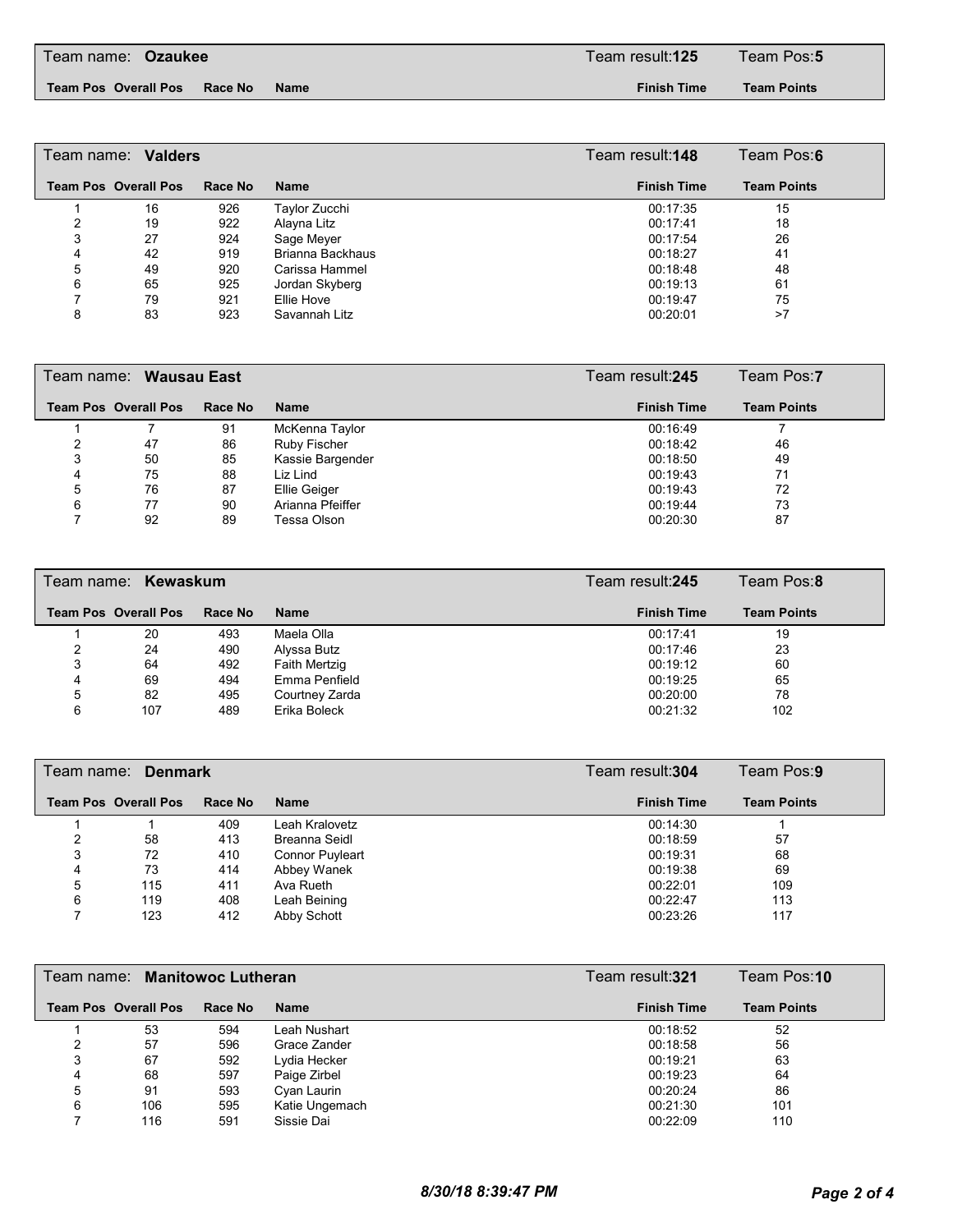**Team Pos Overall Pos Race No Name Finish Time**

**Team Points**

|   | Team name: Valders          |         | Team result:148  | Team Pos:6         |                    |
|---|-----------------------------|---------|------------------|--------------------|--------------------|
|   | <b>Team Pos Overall Pos</b> | Race No | <b>Name</b>      | <b>Finish Time</b> | <b>Team Points</b> |
|   | 16                          | 926     | Taylor Zucchi    | 00:17:35           | 15                 |
|   | 19                          | 922     | Alayna Litz      | 00:17:41           | 18                 |
| 3 | 27                          | 924     | Sage Meyer       | 00:17:54           | 26                 |
| 4 | 42                          | 919     | Brianna Backhaus | 00:18:27           | 41                 |
| 5 | 49                          | 920     | Carissa Hammel   | 00:18:48           | 48                 |
| 6 | 65                          | 925     | Jordan Skyberg   | 00:19:13           | 61                 |
|   | 79                          | 921     | Ellie Hove       | 00:19:47           | 75                 |
| 8 | 83                          | 923     | Savannah Litz    | 00:20:01           | >7                 |

|   | Team name: Wausau East      |         |                  | Team result: 245   | Team Pos:7         |
|---|-----------------------------|---------|------------------|--------------------|--------------------|
|   | <b>Team Pos Overall Pos</b> | Race No | Name             | <b>Finish Time</b> | <b>Team Points</b> |
|   |                             | 91      | McKenna Taylor   | 00:16:49           |                    |
|   | 47                          | 86      | Ruby Fischer     | 00:18:42           | 46                 |
|   | 50                          | 85      | Kassie Bargender | 00:18:50           | 49                 |
| 4 | 75                          | 88      | Liz Lind         | 00:19:43           | 71                 |
| 5 | 76                          | 87      | Ellie Geiger     | 00:19:43           | 72                 |
| 6 | 77                          | 90      | Arianna Pfeiffer | 00:19:44           | 73                 |
|   | 92                          | 89      | Tessa Olson      | 00:20:30           | 87                 |

|   | Team name: Kewaskum         |         |                | Team result: 245   | Team Pos:8         |
|---|-----------------------------|---------|----------------|--------------------|--------------------|
|   | <b>Team Pos Overall Pos</b> | Race No | <b>Name</b>    | <b>Finish Time</b> | <b>Team Points</b> |
|   | 20                          | 493     | Maela Olla     | 00:17:41           | 19                 |
|   | 24                          | 490     | Alyssa Butz    | 00:17:46           | 23                 |
| 3 | 64                          | 492     | Faith Mertzig  | 00:19:12           | 60                 |
| 4 | 69                          | 494     | Emma Penfield  | 00:19:25           | 65                 |
| 5 | 82                          | 495     | Courtney Zarda | 00:20:00           | 78                 |
| 6 | 107                         | 489     | Erika Boleck   | 00:21:32           | 102                |

|   | Team name: Denmark          |         | Team result:304        |  | Team Pos:9         |                    |
|---|-----------------------------|---------|------------------------|--|--------------------|--------------------|
|   | <b>Team Pos Overall Pos</b> | Race No | Name                   |  | <b>Finish Time</b> | <b>Team Points</b> |
|   |                             | 409     | Leah Kralovetz         |  | 00:14:30           |                    |
|   | 58                          | 413     | Breanna Seidl          |  | 00:18:59           | 57                 |
| 3 | 72                          | 410     | <b>Connor Puyleart</b> |  | 00:19:31           | 68                 |
| 4 | 73                          | 414     | Abbey Wanek            |  | 00:19:38           | 69                 |
| 5 | 115                         | 411     | Ava Rueth              |  | 00:22:01           | 109                |
| 6 | 119                         | 408     | Leah Beining           |  | 00:22:47           | 113                |
|   | 123                         | 412     | Abby Schott            |  | 00:23:26           | 117                |

|   | Team name: Manitowoc Lutheran |         |                | Team result: <b>321</b> | Team Pos:10        |
|---|-------------------------------|---------|----------------|-------------------------|--------------------|
|   | <b>Team Pos Overall Pos</b>   | Race No | <b>Name</b>    | <b>Finish Time</b>      | <b>Team Points</b> |
|   | 53                            | 594     | Leah Nushart   | 00:18:52                | 52                 |
|   | 57                            | 596     | Grace Zander   | 00:18:58                | 56                 |
| 3 | 67                            | 592     | Lydia Hecker   | 00:19:21                | 63                 |
| 4 | 68                            | 597     | Paige Zirbel   | 00:19:23                | 64                 |
| 5 | 91                            | 593     | Cyan Laurin    | 00:20:24                | 86                 |
| 6 | 106                           | 595     | Katie Ungemach | 00:21:30                | 101                |
|   | 116                           | 591     | Sissie Dai     | 00:22:09                | 110                |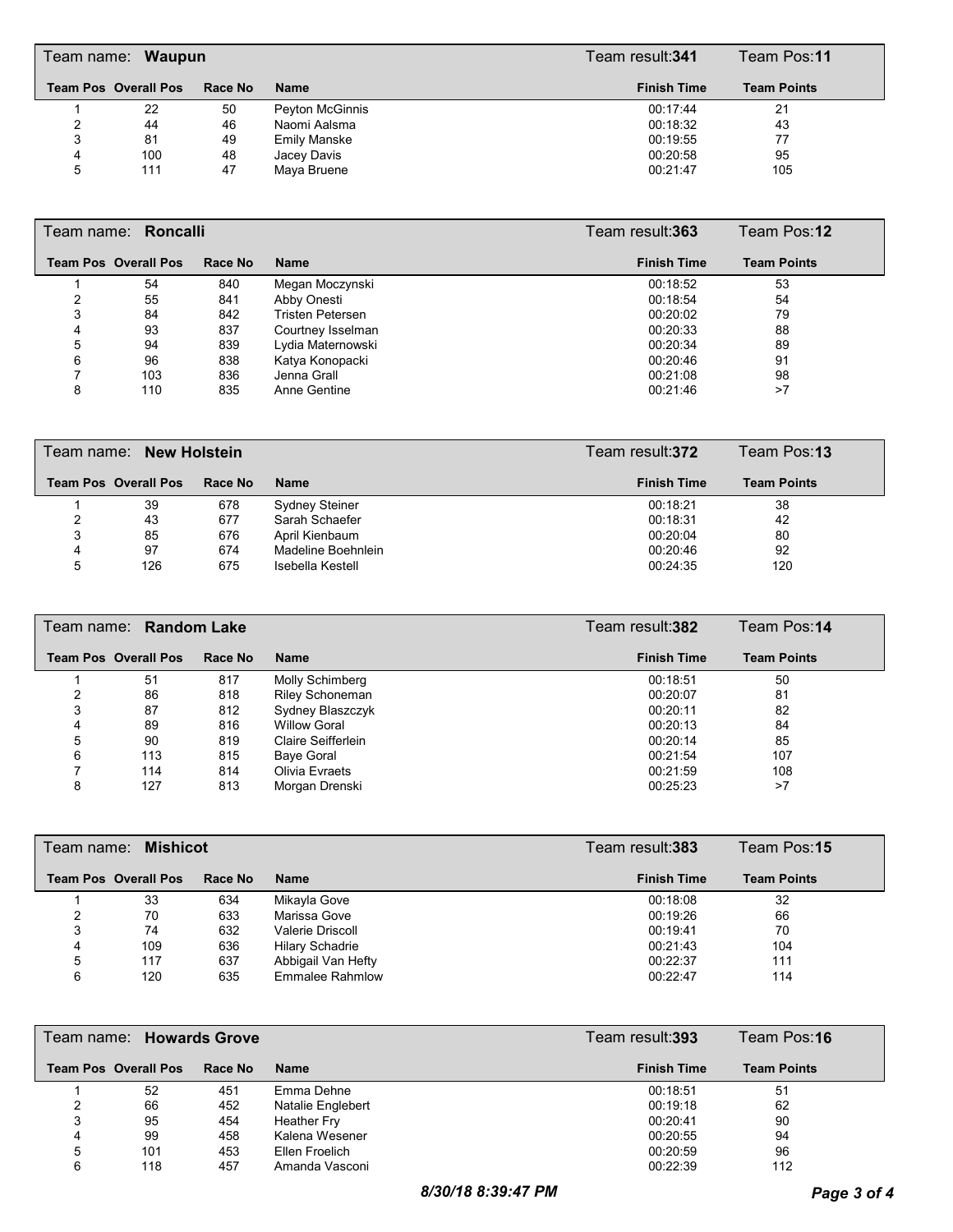|   | Team name: Waupun           |         |                        | Team result: <b>341</b> | Team Pos:11        |  |
|---|-----------------------------|---------|------------------------|-------------------------|--------------------|--|
|   | <b>Team Pos Overall Pos</b> | Race No | <b>Name</b>            | <b>Finish Time</b>      | <b>Team Points</b> |  |
|   | 22                          | 50      | <b>Peyton McGinnis</b> | 00:17:44                | 21                 |  |
|   | 44                          | 46      | Naomi Aalsma           | 00:18:32                | 43                 |  |
| 3 | 81                          | 49      | Emily Manske           | 00:19:55                | 77                 |  |
| 4 | 100                         | 48      | Jacey Davis            | 00:20:58                | 95                 |  |
| 5 | 111                         | 47      | Maya Bruene            | 00:21:47                | 105                |  |

|   | Team name: <b>Roncalli</b>  |         |                         | Team result: <b>363</b> | Team Pos:12        |  |
|---|-----------------------------|---------|-------------------------|-------------------------|--------------------|--|
|   | <b>Team Pos Overall Pos</b> | Race No | <b>Name</b>             | <b>Finish Time</b>      | <b>Team Points</b> |  |
|   | 54                          | 840     | Megan Moczynski         | 00:18:52                | 53                 |  |
|   | 55                          | 841     | Abby Onesti             | 00:18:54                | 54                 |  |
| 3 | 84                          | 842     | <b>Tristen Petersen</b> | 00:20:02                | 79                 |  |
| 4 | 93                          | 837     | Courtney Isselman       | 00:20:33                | 88                 |  |
| 5 | 94                          | 839     | Lydia Maternowski       | 00:20:34                | 89                 |  |
| 6 | 96                          | 838     | Katya Konopacki         | 00:20:46                | 91                 |  |
|   | 103                         | 836     | Jenna Grall             | 00:21:08                | 98                 |  |
| 8 | 110                         | 835     | Anne Gentine            | 00:21:46                | >7                 |  |

|   | Team name: New Holstein     |         |                    | Team result: <b>372</b> | Team Pos:13        |
|---|-----------------------------|---------|--------------------|-------------------------|--------------------|
|   | <b>Team Pos Overall Pos</b> | Race No | <b>Name</b>        | <b>Finish Time</b>      | <b>Team Points</b> |
|   | 39                          | 678     | Sydney Steiner     | 00:18:21                | 38                 |
|   | 43                          | 677     | Sarah Schaefer     | 00:18:31                | 42                 |
| 3 | 85                          | 676     | April Kienbaum     | 00:20:04                | 80                 |
| 4 | 97                          | 674     | Madeline Boehnlein | 00:20:46                | 92                 |
| 5 | 126                         | 675     | Isebella Kestell   | 00:24:35                | 120                |

|   | Team name: <b>Random Lake</b> |         |                     | Team result: <b>382</b> | Team Pos:14        |
|---|-------------------------------|---------|---------------------|-------------------------|--------------------|
|   | <b>Team Pos Overall Pos</b>   | Race No | <b>Name</b>         | <b>Finish Time</b>      | <b>Team Points</b> |
|   | 51                            | 817     | Molly Schimberg     | 00:18:51                | 50                 |
|   | 86                            | 818     | Riley Schoneman     | 00:20:07                | 81                 |
| 3 | 87                            | 812     | Sydney Blaszczyk    | 00:20:11                | 82                 |
|   | 89                            | 816     | <b>Willow Goral</b> | 00:20:13                | 84                 |
| 5 | 90                            | 819     | Claire Seifferlein  | 00:20:14                | 85                 |
| 6 | 113                           | 815     | Baye Goral          | 00:21:54                | 107                |
|   | 114                           | 814     | Olivia Evraets      | 00:21:59                | 108                |
| 8 | 127                           | 813     | Morgan Drenski      | 00:25:23                | >7                 |

|   | Team name: Mishicot         |         |                        | Team result:383    | Team Pos:15        |
|---|-----------------------------|---------|------------------------|--------------------|--------------------|
|   | <b>Team Pos Overall Pos</b> | Race No | <b>Name</b>            | <b>Finish Time</b> | <b>Team Points</b> |
|   | 33                          | 634     | Mikayla Gove           | 00:18:08           | 32                 |
|   | 70                          | 633     | Marissa Gove           | 00:19:26           | 66                 |
| 3 | 74                          | 632     | Valerie Driscoll       | 00:19:41           | 70                 |
| 4 | 109                         | 636     | <b>Hilary Schadrie</b> | 00:21:43           | 104                |
| 5 | 117                         | 637     | Abbigail Van Hefty     | 00:22:37           | 111                |
| 6 | 120                         | 635     | Emmalee Rahmlow        | 00:22:47           | 114                |

|   | Team name: Howards Grove    |         | Team result: <b>393</b> | Team Pos:16        |                    |
|---|-----------------------------|---------|-------------------------|--------------------|--------------------|
|   | <b>Team Pos Overall Pos</b> | Race No | <b>Name</b>             | <b>Finish Time</b> | <b>Team Points</b> |
|   | 52                          | 451     | Emma Dehne              | 00:18:51           | 51                 |
|   | 66                          | 452     | Natalie Englebert       | 00:19:18           | 62                 |
| 3 | 95                          | 454     | Heather Fry             | 00:20:41           | 90                 |
| 4 | 99                          | 458     | Kalena Wesener          | 00:20:55           | 94                 |
| 5 | 101                         | 453     | Ellen Froelich          | 00:20:59           | 96                 |
| 6 | 118                         | 457     | Amanda Vasconi          | 00:22:39           | 112                |